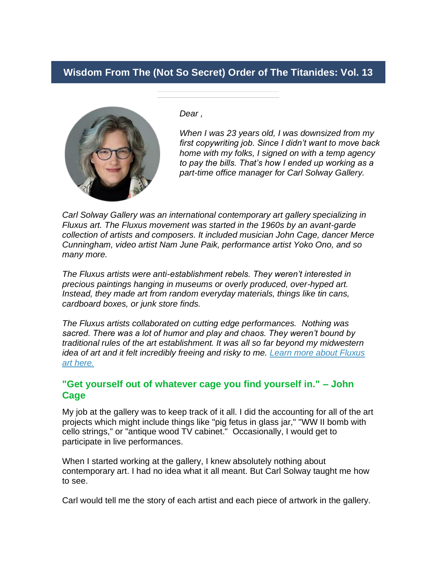# **Wisdom From The (Not So Secret) Order of The Titanides: Vol. 13**



*Dear ,*

*When I was 23 years old, I was downsized from my first copywriting job. Since I didn't want to move back home with my folks, I signed on with a temp agency to pay the bills. That's how I ended up working as a part-time office manager for Carl Solway Gallery.*

*Carl Solway Gallery was an international contemporary art gallery specializing in Fluxus art. The Fluxus movement was started in the 1960s by an avant-garde collection of artists and composers. It included musician John Cage, dancer Merce Cunningham, video artist Nam June Paik, performance artist Yoko Ono, and so many more.*

*The Fluxus artists were anti-establishment rebels. They weren't interested in precious paintings hanging in museums or overly produced, over-hyped art. Instead, they made art from random everyday materials, things like tin cans, cardboard boxes, or junk store finds.* 

*The Fluxus artists collaborated on cutting edge performances. Nothing was sacred. There was a lot of humor and play and chaos. They weren't bound by traditional rules of the art establishment. It was all so far beyond my midwestern idea of art and it felt incredibly freeing and risky to me. [Learn more about Fluxus](https://titanidesllc.acemlna.com/lt.php?notrack=1¬rack=1&s=bad97c655476f96a390a72c05a742011&i=162A212A6A1111)  [art here.](https://titanidesllc.acemlna.com/lt.php?notrack=1¬rack=1&s=bad97c655476f96a390a72c05a742011&i=162A212A6A1111)*

## **"Get yourself out of whatever cage you find yourself in." – John Cage**

My job at the gallery was to keep track of it all. I did the accounting for all of the art projects which might include things like "pig fetus in glass jar," "WW II bomb with cello strings," or "antique wood TV cabinet." Occasionally, I would get to participate in live performances.

When I started working at the gallery, I knew absolutely nothing about contemporary art. I had no idea what it all meant. But Carl Solway taught me how to see.

Carl would tell me the story of each artist and each piece of artwork in the gallery.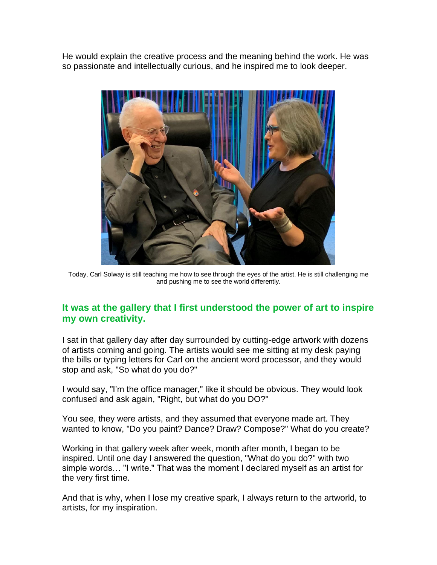He would explain the creative process and the meaning behind the work. He was so passionate and intellectually curious, and he inspired me to look deeper.



Today, Carl Solway is still teaching me how to see through the eyes of the artist. He is still challenging me and pushing me to see the world differently.

## **It was at the gallery that I first understood the power of art to inspire my own creativity.**

I sat in that gallery day after day surrounded by cutting-edge artwork with dozens of artists coming and going. The artists would see me sitting at my desk paying the bills or typing letters for Carl on the ancient word processor, and they would stop and ask, "So what do you do?"

I would say, "I'm the office manager," like it should be obvious. They would look confused and ask again, "Right, but what do you DO?"

You see, they were artists, and they assumed that everyone made art. They wanted to know, "Do you paint? Dance? Draw? Compose?" What do you create?

Working in that gallery week after week, month after month, I began to be inspired. Until one day I answered the question, "What do you do?" with two simple words… "I write." That was the moment I declared myself as an artist for the very first time.

And that is why, when I lose my creative spark, I always return to the artworld, to artists, for my inspiration.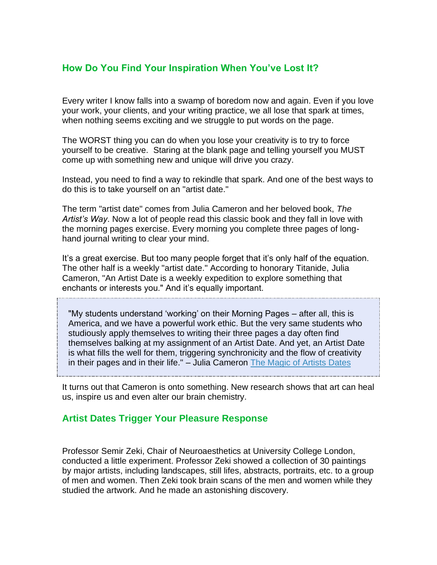# **How Do You Find Your Inspiration When You've Lost It?**

Every writer I know falls into a swamp of boredom now and again. Even if you love your work, your clients, and your writing practice, we all lose that spark at times, when nothing seems exciting and we struggle to put words on the page.

The WORST thing you can do when you lose your creativity is to try to force yourself to be creative. Staring at the blank page and telling yourself you MUST come up with something new and unique will drive you crazy.

Instead, you need to find a way to rekindle that spark. And one of the best ways to do this is to take yourself on an "artist date."

The term "artist date" comes from Julia Cameron and her beloved book, *The Artist's Way*. Now a lot of people read this classic book and they fall in love with the morning pages exercise. Every morning you complete three pages of longhand journal writing to clear your mind.

It's a great exercise. But too many people forget that it's only half of the equation. The other half is a weekly "artist date." According to honorary Titanide, Julia Cameron, "An Artist Date is a weekly expedition to explore something that enchants or interests you." And it's equally important.

"My students understand 'working' on their Morning Pages – after all, this is America, and we have a powerful work ethic. But the very same students who studiously apply themselves to writing their three pages a day often find themselves balking at my assignment of an Artist Date. And yet, an Artist Date is what fills the well for them, triggering synchronicity and the flow of creativity in their pages and in their life." – Julia Cameron [The Magic of Artists Dates](https://titanidesllc.acemlna.com/lt.php?notrack=1¬rack=1&s=bad97c655476f96a390a72c05a742011&i=162A212A6A1105)

It turns out that Cameron is onto something. New research shows that art can heal us, inspire us and even alter our brain chemistry.

### **Artist Dates Trigger Your Pleasure Response**

Professor Semir Zeki, Chair of Neuroaesthetics at University College London, conducted a little experiment. Professor Zeki showed a collection of 30 paintings by major artists, including landscapes, still lifes, abstracts, portraits, etc. to a group of men and women. Then Zeki took brain scans of the men and women while they studied the artwork. And he made an astonishing discovery.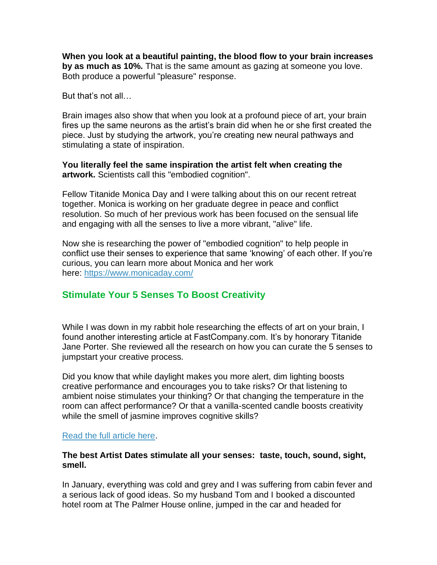**When you look at a beautiful painting, the blood flow to your brain increases by as much as 10%.** That is the same amount as gazing at someone you love. Both produce a powerful "pleasure" response.

But that's not all…

Brain images also show that when you look at a profound piece of art, your brain fires up the same neurons as the artist's brain did when he or she first created the piece. Just by studying the artwork, you're creating new neural pathways and stimulating a state of inspiration.

**You literally feel the same inspiration the artist felt when creating the artwork.** Scientists call this "embodied cognition".

Fellow Titanide Monica Day and I were talking about this on our recent retreat together. Monica is working on her graduate degree in peace and conflict resolution. So much of her previous work has been focused on the sensual life and engaging with all the senses to live a more vibrant, "alive" life.

Now she is researching the power of "embodied cognition" to help people in conflict use their senses to experience that same 'knowing' of each other. If you're curious, you can learn more about Monica and her work here: [https://www.monicaday.com/](https://titanidesllc.acemlna.com/lt.php?notrack=1¬rack=1&s=bad97c655476f96a390a72c05a742011&i=162A212A6A1106)

# **Stimulate Your 5 Senses To Boost Creativity**

While I was down in my rabbit hole researching the effects of art on your brain, I found another interesting article at FastCompany.com. It's by honorary Titanide Jane Porter. She reviewed all the research on how you can curate the 5 senses to jumpstart your creative process.

Did you know that while daylight makes you more alert, dim lighting boosts creative performance and encourages you to take risks? Or that listening to ambient noise stimulates your thinking? Or that changing the temperature in the room can affect performance? Or that a vanilla-scented candle boosts creativity while the smell of jasmine improves cognitive skills?

### [Read the full article here.](https://titanidesllc.acemlna.com/lt.php?notrack=1¬rack=1&s=bad97c655476f96a390a72c05a742011&i=162A212A6A1107)

#### **The best Artist Dates stimulate all your senses: taste, touch, sound, sight, smell.**

In January, everything was cold and grey and I was suffering from cabin fever and a serious lack of good ideas. So my husband Tom and I booked a discounted hotel room at The Palmer House online, jumped in the car and headed for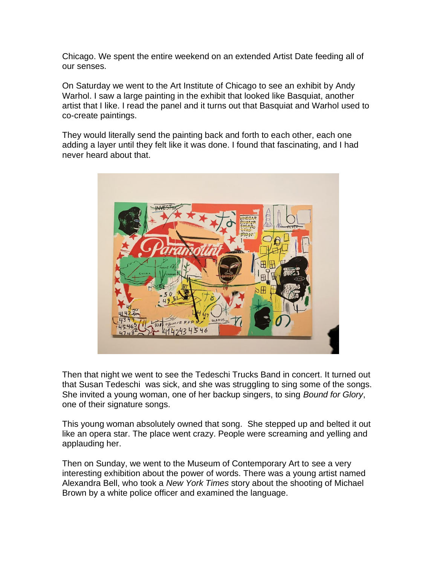Chicago. We spent the entire weekend on an extended Artist Date feeding all of our senses.

On Saturday we went to the Art Institute of Chicago to see an exhibit by Andy Warhol. I saw a large painting in the exhibit that looked like Basquiat, another artist that I like. I read the panel and it turns out that Basquiat and Warhol used to co-create paintings.

They would literally send the painting back and forth to each other, each one adding a layer until they felt like it was done. I found that fascinating, and I had never heard about that.



Then that night we went to see the Tedeschi Trucks Band in concert. It turned out that Susan Tedeschi was sick, and she was struggling to sing some of the songs. She invited a young woman, one of her backup singers, to sing *Bound for Glory*, one of their signature songs.

This young woman absolutely owned that song. She stepped up and belted it out like an opera star. The place went crazy. People were screaming and yelling and applauding her.

Then on Sunday, we went to the Museum of Contemporary Art to see a very interesting exhibition about the power of words. There was a young artist named Alexandra Bell, who took a *New York Times* story about the shooting of Michael Brown by a white police officer and examined the language.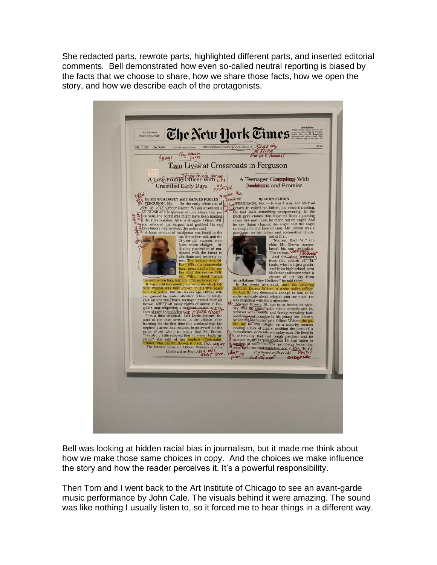She redacted parts, rewrote parts, highlighted different parts, and inserted editorial comments. Bell demonstrated how even so-called neutral reporting is biased by the facts that we choose to share, how we share those facts, how we open the story, and how we describe each of the protagonists.



Bell was looking at hidden racial bias in journalism, but it made me think about how we make those same choices in copy. And the choices we make influence the story and how the reader perceives it. It's a powerful responsibility.

Then Tom and I went back to the Art Institute of Chicago to see an avant-garde music performance by John Cale. The visuals behind it were amazing. The sound was like nothing I usually listen to, so it forced me to hear things in a different way.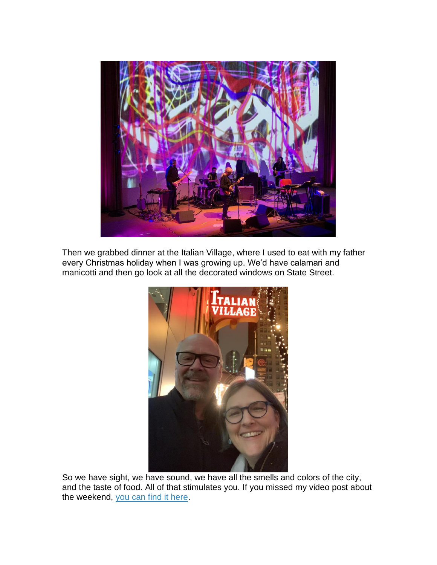

Then we grabbed dinner at the Italian Village, where I used to eat with my father every Christmas holiday when I was growing up. We'd have calamari and manicotti and then go look at all the decorated windows on State Street.



So we have sight, we have sound, we have all the smells and colors of the city, and the taste of food. All of that stimulates you. If you missed my video post about the weekend, [you can find it here.](https://titanidesllc.acemlna.com/lt.php?notrack=1¬rack=1&s=bad97c655476f96a390a72c05a742011&i=162A212A6A1108)